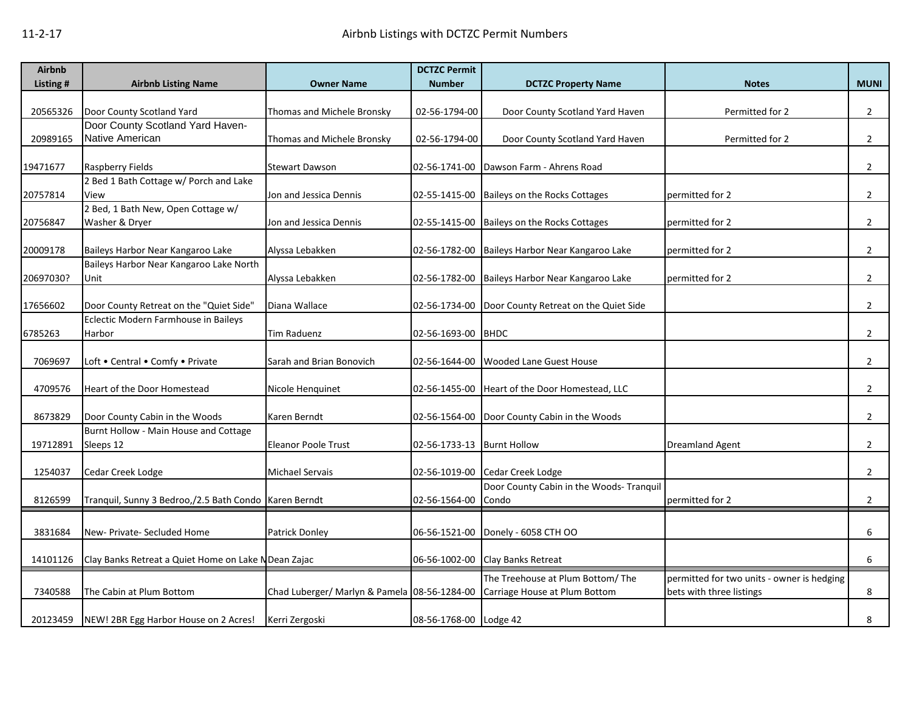| <b>Airbnb</b> |                                                         |                                              | <b>DCTZC Permit</b>        |                                                     |                                            |                |
|---------------|---------------------------------------------------------|----------------------------------------------|----------------------------|-----------------------------------------------------|--------------------------------------------|----------------|
| Listing #     | <b>Airbnb Listing Name</b>                              | <b>Owner Name</b>                            | <b>Number</b>              | <b>DCTZC Property Name</b>                          | <b>Notes</b>                               | <b>MUNI</b>    |
|               |                                                         |                                              |                            |                                                     |                                            |                |
| 20565326      | Door County Scotland Yard                               | Thomas and Michele Bronsky                   | 02-56-1794-00              | Door County Scotland Yard Haven                     | Permitted for 2                            | $\overline{2}$ |
| 20989165      | Door County Scotland Yard Haven-<br>Native American     |                                              |                            |                                                     |                                            |                |
|               |                                                         | Thomas and Michele Bronsky                   | 02-56-1794-00              | Door County Scotland Yard Haven                     | Permitted for 2                            | $\overline{2}$ |
| 19471677      | <b>Raspberry Fields</b>                                 | <b>Stewart Dawson</b>                        | 02-56-1741-00              | Dawson Farm - Ahrens Road                           |                                            | $\overline{2}$ |
|               | 2 Bed 1 Bath Cottage w/ Porch and Lake                  |                                              |                            |                                                     |                                            |                |
| 20757814      | View                                                    | Jon and Jessica Dennis                       |                            | 02-55-1415-00 Baileys on the Rocks Cottages         | permitted for 2                            | $\overline{2}$ |
|               | 2 Bed, 1 Bath New, Open Cottage w/                      |                                              |                            |                                                     |                                            |                |
| 20756847      | Washer & Dryer                                          | Jon and Jessica Dennis                       |                            | 02-55-1415-00 Baileys on the Rocks Cottages         | permitted for 2                            | $\overline{2}$ |
|               |                                                         |                                              |                            |                                                     |                                            |                |
| 20009178      | Baileys Harbor Near Kangaroo Lake                       | Alyssa Lebakken                              |                            | 02-56-1782-00 Baileys Harbor Near Kangaroo Lake     | permitted for 2                            | $\overline{2}$ |
|               | Baileys Harbor Near Kangaroo Lake North                 |                                              |                            |                                                     |                                            |                |
| 20697030?     | Unit                                                    | Alyssa Lebakken                              |                            | 02-56-1782-00 Baileys Harbor Near Kangaroo Lake     | permitted for 2                            | $\overline{2}$ |
| 17656602      | Door County Retreat on the "Quiet Side"                 | Diana Wallace                                |                            | 02-56-1734-00 Door County Retreat on the Quiet Side |                                            | $\overline{2}$ |
|               | Eclectic Modern Farmhouse in Baileys                    |                                              |                            |                                                     |                                            |                |
| 6785263       | Harbor                                                  | <b>Tim Raduenz</b>                           | 02-56-1693-00 BHDC         |                                                     |                                            | $\overline{2}$ |
|               |                                                         |                                              |                            |                                                     |                                            |                |
| 7069697       | Loft . Central . Comfy . Private                        | Sarah and Brian Bonovich                     |                            | 02-56-1644-00 Wooded Lane Guest House               |                                            | $\overline{2}$ |
|               |                                                         |                                              |                            |                                                     |                                            |                |
| 4709576       | Heart of the Door Homestead                             | Nicole Henquinet                             |                            | 02-56-1455-00 Heart of the Door Homestead, LLC      |                                            | $\overline{2}$ |
| 8673829       | Door County Cabin in the Woods                          | Karen Berndt                                 |                            | 02-56-1564-00 Door County Cabin in the Woods        |                                            | $\overline{2}$ |
|               | Burnt Hollow - Main House and Cottage                   |                                              |                            |                                                     |                                            |                |
| 19712891      | Sleeps 12                                               | <b>Eleanor Poole Trust</b>                   | 02-56-1733-13 Burnt Hollow |                                                     | <b>Dreamland Agent</b>                     | $\overline{2}$ |
|               |                                                         |                                              |                            |                                                     |                                            |                |
| 1254037       | Cedar Creek Lodge                                       | <b>Michael Servais</b>                       |                            | 02-56-1019-00 Cedar Creek Lodge                     |                                            | $\overline{2}$ |
|               |                                                         |                                              |                            | Door County Cabin in the Woods- Tranquil            |                                            |                |
| 8126599       | Tranquil, Sunny 3 Bedroo,/2.5 Bath Condo   Karen Berndt |                                              | 02-56-1564-00              | Condo                                               | permitted for 2                            | $\overline{2}$ |
|               |                                                         |                                              |                            |                                                     |                                            |                |
| 3831684       | New- Private- Secluded Home                             | <b>Patrick Donley</b>                        |                            | 06-56-1521-00 Donely - 6058 CTH OO                  |                                            | 6              |
|               |                                                         |                                              |                            |                                                     |                                            |                |
| 14101126      | Clay Banks Retreat a Quiet Home on Lake N Dean Zajac    |                                              |                            | 06-56-1002-00 Clay Banks Retreat                    |                                            | 6              |
|               |                                                         |                                              |                            | The Treehouse at Plum Bottom/ The                   | permitted for two units - owner is hedging |                |
| 7340588       | The Cabin at Plum Bottom                                | Chad Luberger/ Marlyn & Pamela 08-56-1284-00 |                            | Carriage House at Plum Bottom                       | bets with three listings                   | 8              |
|               |                                                         |                                              |                            |                                                     |                                            |                |
| 20123459      | NEW! 2BR Egg Harbor House on 2 Acres!                   | Kerri Zergoski                               | 08-56-1768-00 Lodge 42     |                                                     |                                            | 8              |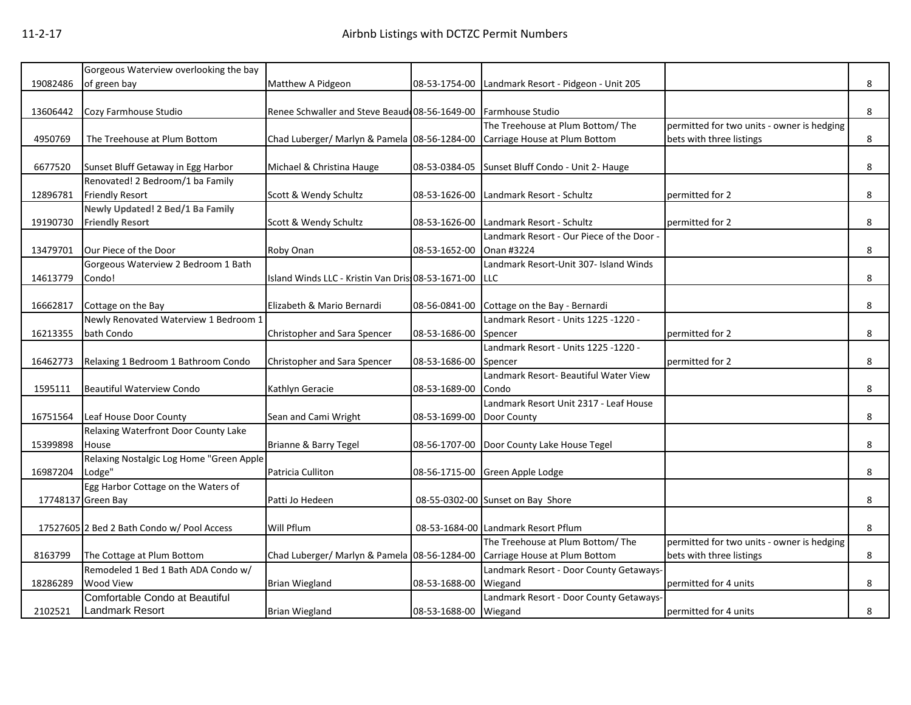|          | Gorgeous Waterview overlooking the bay     |                                                                            |                           |                                                  |                                            |   |
|----------|--------------------------------------------|----------------------------------------------------------------------------|---------------------------|--------------------------------------------------|--------------------------------------------|---|
| 19082486 | of green bay                               | Matthew A Pidgeon                                                          | 08-53-1754-00             | Landmark Resort - Pidgeon - Unit 205             |                                            | 8 |
|          |                                            |                                                                            |                           |                                                  |                                            |   |
| 13606442 | Cozy Farmhouse Studio                      | Renee Schwaller and Steve Beaud 08-56-1649-00 Farmhouse Studio             |                           |                                                  |                                            | 8 |
|          |                                            |                                                                            |                           | The Treehouse at Plum Bottom/ The                | permitted for two units - owner is hedging |   |
| 4950769  | The Treehouse at Plum Bottom               | Chad Luberger/ Marlyn & Pamela 08-56-1284-00 Carriage House at Plum Bottom |                           |                                                  | bets with three listings                   | 8 |
|          |                                            |                                                                            |                           |                                                  |                                            |   |
| 6677520  | Sunset Bluff Getaway in Egg Harbor         | Michael & Christina Hauge                                                  |                           | 08-53-0384-05 Sunset Bluff Condo - Unit 2- Hauge |                                            | 8 |
|          | Renovated! 2 Bedroom/1 ba Family           |                                                                            |                           |                                                  |                                            |   |
| 12896781 | <b>Friendly Resort</b>                     | Scott & Wendy Schultz                                                      |                           | 08-53-1626-00 Landmark Resort - Schultz          | permitted for 2                            | 8 |
|          | Newly Updated! 2 Bed/1 Ba Family           |                                                                            |                           |                                                  |                                            |   |
| 19190730 | <b>Friendly Resort</b>                     | Scott & Wendy Schultz                                                      | 08-53-1626-00             | Landmark Resort - Schultz                        | permitted for 2                            | 8 |
|          |                                            |                                                                            |                           | Landmark Resort - Our Piece of the Door -        |                                            |   |
| 13479701 | Our Piece of the Door                      | Roby Onan                                                                  | 08-53-1652-00             | Onan #3224                                       |                                            | 8 |
|          | Gorgeous Waterview 2 Bedroom 1 Bath        |                                                                            |                           | Landmark Resort-Unit 307- Island Winds           |                                            |   |
| 14613779 | Condo!                                     | Island Winds LLC - Kristin Van Dris: 08-53-1671-00 LLC                     |                           |                                                  |                                            | 8 |
|          |                                            |                                                                            |                           |                                                  |                                            |   |
| 16662817 | Cottage on the Bay                         | Elizabeth & Mario Bernardi                                                 |                           | 08-56-0841-00 Cottage on the Bay - Bernardi      |                                            | 8 |
|          | Newly Renovated Waterview 1 Bedroom 1      |                                                                            |                           | Landmark Resort - Units 1225 -1220 -             |                                            |   |
| 16213355 | bath Condo                                 | Christopher and Sara Spencer                                               | 08-53-1686-00             | Spencer                                          | permitted for 2                            | 8 |
|          |                                            |                                                                            |                           | Landmark Resort - Units 1225 -1220 -             |                                            |   |
| 16462773 | Relaxing 1 Bedroom 1 Bathroom Condo        | Christopher and Sara Spencer                                               | 08-53-1686-00             | Spencer                                          | permitted for 2                            | 8 |
|          |                                            |                                                                            |                           | Landmark Resort- Beautiful Water View            |                                            |   |
| 1595111  | <b>Beautiful Waterview Condo</b>           | Kathlyn Geracie                                                            | 08-53-1689-00             | Condo                                            |                                            | 8 |
|          |                                            |                                                                            |                           | Landmark Resort Unit 2317 - Leaf House           |                                            |   |
| 16751564 | Leaf House Door County                     | Sean and Cami Wright                                                       | 08-53-1699-00 Door County |                                                  |                                            | 8 |
|          | Relaxing Waterfront Door County Lake       |                                                                            |                           |                                                  |                                            |   |
| 15399898 | House                                      | Brianne & Barry Tegel                                                      |                           | 08-56-1707-00 Door County Lake House Tegel       |                                            | 8 |
|          | Relaxing Nostalgic Log Home "Green Apple   |                                                                            |                           |                                                  |                                            |   |
| 16987204 | Lodge"                                     | Patricia Culliton                                                          |                           | 08-56-1715-00 Green Apple Lodge                  |                                            | 8 |
|          | Egg Harbor Cottage on the Waters of        |                                                                            |                           |                                                  |                                            |   |
|          | 17748137 Green Bay                         | Patti Jo Hedeen                                                            |                           | 08-55-0302-00 Sunset on Bay Shore                |                                            | 8 |
|          |                                            |                                                                            |                           |                                                  |                                            |   |
|          | 17527605 2 Bed 2 Bath Condo w/ Pool Access | Will Pflum                                                                 |                           | 08-53-1684-00 Landmark Resort Pflum              |                                            | 8 |
|          |                                            |                                                                            |                           | The Treehouse at Plum Bottom/ The                | permitted for two units - owner is hedging |   |
| 8163799  | The Cottage at Plum Bottom                 | Chad Luberger/ Marlyn & Pamela 08-56-1284-00                               |                           | Carriage House at Plum Bottom                    | bets with three listings                   | 8 |
|          | Remodeled 1 Bed 1 Bath ADA Condo w/        |                                                                            |                           | Landmark Resort - Door County Getaways-          |                                            |   |
| 18286289 | Wood View                                  | <b>Brian Wiegland</b>                                                      | 08-53-1688-00             | Wiegand                                          | permitted for 4 units                      | 8 |
|          | Comfortable Condo at Beautiful             |                                                                            |                           | Landmark Resort - Door County Getaways-          |                                            |   |
| 2102521  | <b>Landmark Resort</b>                     | <b>Brian Wiegland</b>                                                      | 08-53-1688-00 Wiegand     |                                                  | permitted for 4 units                      | 8 |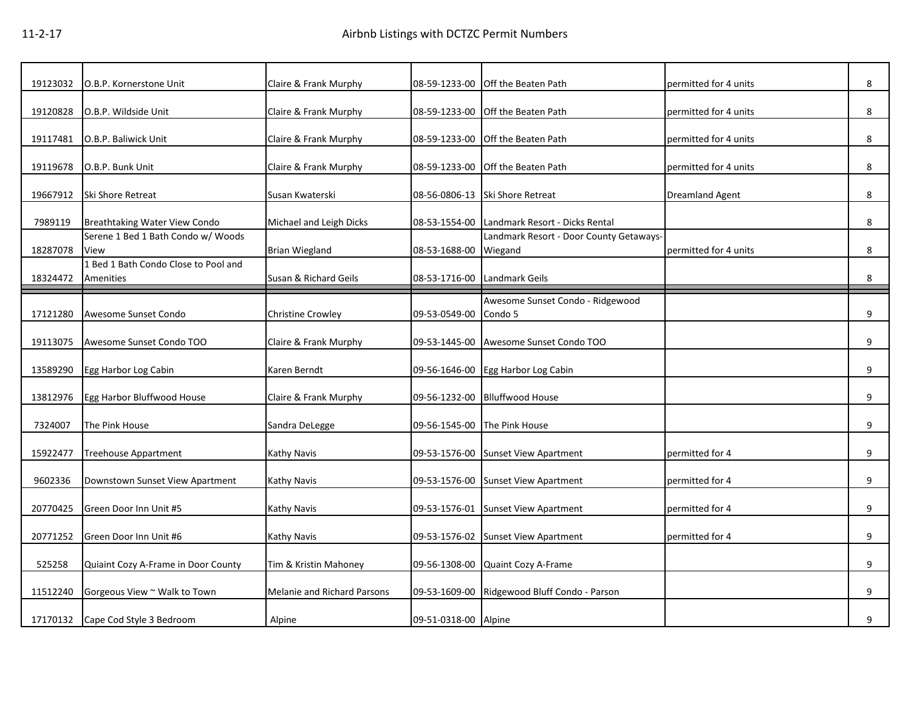| 19123032 | O.B.P. Kornerstone Unit                           | Claire & Frank Murphy              | 08-59-1233-00        | Off the Beaten Path                          | permitted for 4 units  | 8 |
|----------|---------------------------------------------------|------------------------------------|----------------------|----------------------------------------------|------------------------|---|
| 19120828 | O.B.P. Wildside Unit                              | Claire & Frank Murphy              | 08-59-1233-00        | Off the Beaten Path                          | permitted for 4 units  | 8 |
|          |                                                   |                                    |                      |                                              |                        |   |
| 19117481 | O.B.P. Baliwick Unit                              | Claire & Frank Murphy              | 08-59-1233-00        | Off the Beaten Path                          | permitted for 4 units  | 8 |
| 19119678 | O.B.P. Bunk Unit                                  | Claire & Frank Murphy              | 08-59-1233-00        | Off the Beaten Path                          | permitted for 4 units  | 8 |
| 19667912 | Ski Shore Retreat                                 | Susan Kwaterski                    |                      | 08-56-0806-13 Ski Shore Retreat              | <b>Dreamland Agent</b> | 8 |
| 7989119  | Breathtaking Water View Condo                     | Michael and Leigh Dicks            |                      | 08-53-1554-00 Landmark Resort - Dicks Rental |                        | 8 |
|          | Serene 1 Bed 1 Bath Condo w/ Woods                |                                    |                      | Landmark Resort - Door County Getaways-      |                        |   |
| 18287078 | View                                              | <b>Brian Wiegland</b>              | 08-53-1688-00        | Wiegand                                      | permitted for 4 units  | 8 |
| 18324472 | 1 Bed 1 Bath Condo Close to Pool and<br>Amenities | Susan & Richard Geils              | 08-53-1716-00        | Landmark Geils                               |                        | 8 |
|          |                                                   |                                    |                      |                                              |                        |   |
| 17121280 | Awesome Sunset Condo                              | <b>Christine Crowley</b>           | 09-53-0549-00        | Awesome Sunset Condo - Ridgewood<br>Condo 5  |                        | 9 |
| 19113075 | Awesome Sunset Condo TOO                          | Claire & Frank Murphy              | 09-53-1445-00        | Awesome Sunset Condo TOO                     |                        | 9 |
| 13589290 | Egg Harbor Log Cabin                              | Karen Berndt                       |                      | 09-56-1646-00 Egg Harbor Log Cabin           |                        | 9 |
|          |                                                   |                                    |                      |                                              |                        |   |
| 13812976 | Egg Harbor Bluffwood House                        | Claire & Frank Murphy              | 09-56-1232-00        | <b>Blluffwood House</b>                      |                        | 9 |
| 7324007  | The Pink House                                    | Sandra DeLegge                     | 09-56-1545-00        | The Pink House                               |                        | 9 |
| 15922477 | <b>Treehouse Appartment</b>                       | Kathy Navis                        |                      | 09-53-1576-00 Sunset View Apartment          | permitted for 4        | 9 |
| 9602336  | Downstown Sunset View Apartment                   | Kathy Navis                        |                      | 09-53-1576-00 Sunset View Apartment          | permitted for 4        | 9 |
|          |                                                   |                                    |                      |                                              |                        |   |
| 20770425 | Green Door Inn Unit #5                            | Kathy Navis                        | 09-53-1576-01        | <b>Sunset View Apartment</b>                 | permitted for 4        | 9 |
| 20771252 | Green Door Inn Unit #6                            | Kathy Navis                        |                      | 09-53-1576-02 Sunset View Apartment          | permitted for 4        | 9 |
| 525258   | Quiaint Cozy A-Frame in Door County               | Tim & Kristin Mahoney              | 09-56-1308-00        | Quaint Cozy A-Frame                          |                        | 9 |
| 11512240 | Gorgeous View ~ Walk to Town                      | <b>Melanie and Richard Parsons</b> | 09-53-1609-00        | Ridgewood Bluff Condo - Parson               |                        | 9 |
|          |                                                   |                                    |                      |                                              |                        |   |
| 17170132 | Cape Cod Style 3 Bedroom                          | Alpine                             | 09-51-0318-00 Alpine |                                              |                        | 9 |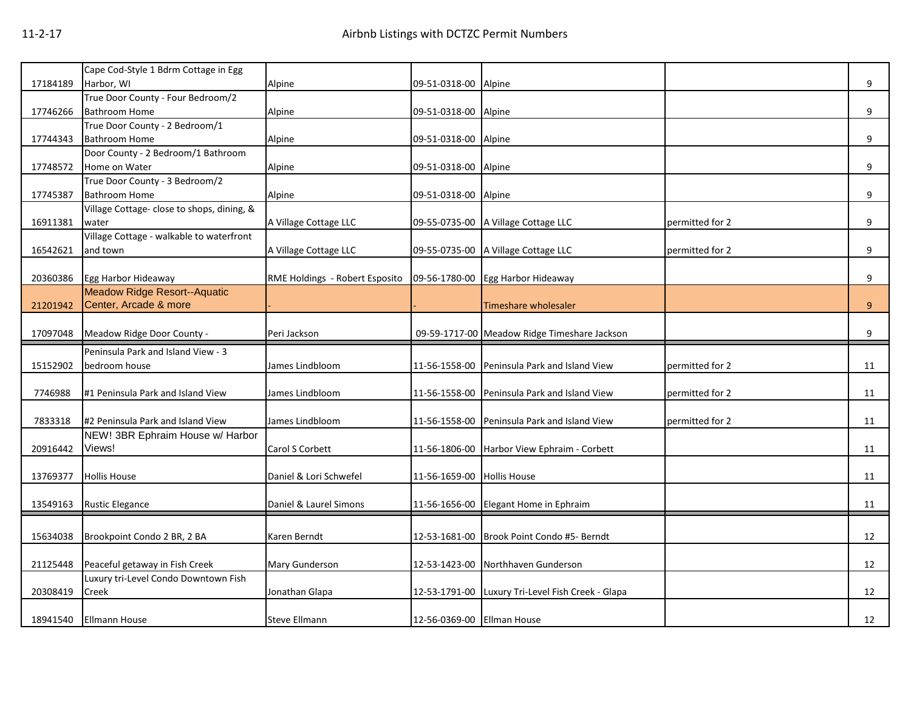|          | Cape Cod-Style 1 Bdrm Cottage in Egg       |                                |                            |                                              |                 |    |
|----------|--------------------------------------------|--------------------------------|----------------------------|----------------------------------------------|-----------------|----|
| 17184189 | Harbor, WI                                 | Alpine                         | 09-51-0318-00 Alpine       |                                              |                 | 9  |
|          | True Door County - Four Bedroom/2          |                                |                            |                                              |                 |    |
| 17746266 | <b>Bathroom Home</b>                       | Alpine                         | 09-51-0318-00 Alpine       |                                              |                 | 9  |
|          | True Door County - 2 Bedroom/1             |                                |                            |                                              |                 |    |
| 17744343 | <b>Bathroom Home</b>                       | Alpine                         | 09-51-0318-00 Alpine       |                                              |                 | 9  |
|          | Door County - 2 Bedroom/1 Bathroom         |                                |                            |                                              |                 |    |
| 17748572 | Home on Water                              | Alpine                         | 09-51-0318-00 Alpine       |                                              |                 | 9  |
|          | True Door County - 3 Bedroom/2             |                                |                            |                                              |                 |    |
| 17745387 | <b>Bathroom Home</b>                       | Alpine                         | 09-51-0318-00 Alpine       |                                              |                 | 9  |
|          | Village Cottage- close to shops, dining, & |                                |                            |                                              |                 |    |
| 16911381 | water                                      | A Village Cottage LLC          |                            | 09-55-0735-00 A Village Cottage LLC          | permitted for 2 | 9  |
|          | Village Cottage - walkable to waterfront   |                                |                            |                                              |                 |    |
| 16542621 | and town                                   | A Village Cottage LLC          |                            | 09-55-0735-00 A Village Cottage LLC          | permitted for 2 | 9  |
|          |                                            |                                |                            |                                              |                 |    |
| 20360386 | Egg Harbor Hideaway                        | RME Holdings - Robert Esposito |                            | 09-56-1780-00 Egg Harbor Hideaway            |                 | 9  |
|          | <b>Meadow Ridge Resort--Aquatic</b>        |                                |                            |                                              |                 |    |
| 21201942 | Center, Arcade & more                      |                                |                            | Timeshare wholesaler                         |                 | 9  |
|          |                                            |                                |                            |                                              |                 |    |
| 17097048 | Meadow Ridge Door County -                 | Peri Jackson                   |                            | 09-59-1717-00 Meadow Ridge Timeshare Jackson |                 | 9  |
|          |                                            |                                |                            |                                              |                 |    |
|          | Peninsula Park and Island View - 3         |                                |                            |                                              |                 |    |
| 15152902 | bedroom house                              | James Lindbloom                | 11-56-1558-00              | Peninsula Park and Island View               | permitted for 2 | 11 |
|          |                                            |                                |                            |                                              |                 |    |
| 7746988  | #1 Peninsula Park and Island View          | James Lindbloom                |                            | 11-56-1558-00 Peninsula Park and Island View | permitted for 2 | 11 |
|          |                                            |                                |                            |                                              |                 |    |
| 7833318  | #2 Peninsula Park and Island View          | James Lindbloom                |                            | 11-56-1558-00 Peninsula Park and Island View | permitted for 2 | 11 |
|          | NEW! 3BR Ephraim House w/ Harbor           |                                |                            |                                              |                 |    |
| 20916442 | Views!                                     | Carol S Corbett                |                            | 11-56-1806-00 Harbor View Ephraim - Corbett  |                 | 11 |
|          |                                            |                                |                            |                                              |                 |    |
| 13769377 | <b>Hollis House</b>                        | Daniel & Lori Schwefel         | 11-56-1659-00 Hollis House |                                              |                 | 11 |
|          |                                            |                                |                            |                                              |                 |    |
| 13549163 | <b>Rustic Elegance</b>                     | Daniel & Laurel Simons         |                            | 11-56-1656-00 Elegant Home in Ephraim        |                 | 11 |
|          |                                            |                                |                            |                                              |                 |    |
| 15634038 | Brookpoint Condo 2 BR, 2 BA                | Karen Berndt                   |                            | 12-53-1681-00 Brook Point Condo #5- Berndt   |                 | 12 |
|          |                                            |                                |                            |                                              |                 |    |
| 21125448 | Peaceful getaway in Fish Creek             | <b>Mary Gunderson</b>          |                            | 12-53-1423-00 Northhaven Gunderson           |                 | 12 |
|          | Luxury tri-Level Condo Downtown Fish       |                                |                            |                                              |                 |    |
| 20308419 | Creek                                      | Jonathan Glapa                 | 12-53-1791-00              | Luxury Tri-Level Fish Creek - Glapa          |                 | 12 |
|          |                                            | <b>Steve Ellmann</b>           | 12-56-0369-00 Ellman House |                                              |                 | 12 |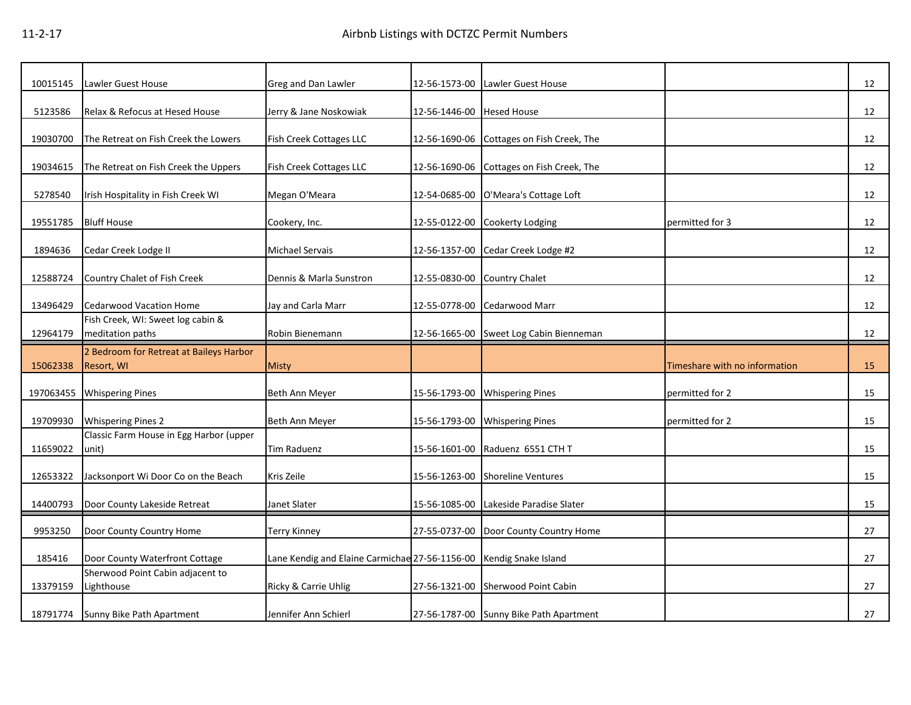| 10015145  | Lawler Guest House                                       | Greg and Dan Lawler                                                | 12-56-1573-00 | Lawler Guest House                                                               |                               | 12       |
|-----------|----------------------------------------------------------|--------------------------------------------------------------------|---------------|----------------------------------------------------------------------------------|-------------------------------|----------|
| 5123586   | Relax & Refocus at Hesed House                           | Jerry & Jane Noskowiak                                             | 12-56-1446-00 | <b>Hesed House</b>                                                               |                               | 12       |
| 19030700  | The Retreat on Fish Creek the Lowers                     | Fish Creek Cottages LLC                                            | 12-56-1690-06 | Cottages on Fish Creek, The                                                      |                               | 12       |
| 19034615  | The Retreat on Fish Creek the Uppers                     | Fish Creek Cottages LLC                                            | 12-56-1690-06 | Cottages on Fish Creek, The                                                      |                               | 12       |
| 5278540   | Irish Hospitality in Fish Creek WI                       | Megan O'Meara                                                      | 12-54-0685-00 | O'Meara's Cottage Loft                                                           |                               | 12       |
| 19551785  | <b>Bluff House</b>                                       | Cookery, Inc.                                                      | 12-55-0122-00 | Cookerty Lodging                                                                 | permitted for 3               | 12       |
| 1894636   | Cedar Creek Lodge II                                     | <b>Michael Servais</b>                                             | 12-56-1357-00 | Cedar Creek Lodge #2                                                             |                               | 12       |
| 12588724  | Country Chalet of Fish Creek                             | Dennis & Marla Sunstron                                            | 12-55-0830-00 | Country Chalet                                                                   |                               | 12       |
| 13496429  | <b>Cedarwood Vacation Home</b>                           | Jay and Carla Marr                                                 | 12-55-0778-00 | Cedarwood Marr                                                                   |                               | 12       |
| 12964179  | Fish Creek, WI: Sweet log cabin &<br>meditation paths    | Robin Bienemann                                                    | 12-56-1665-00 | Sweet Log Cabin Bienneman                                                        |                               | 12       |
| 15062338  | 2 Bedroom for Retreat at Baileys Harbor<br>Resort, WI    | Misty                                                              |               |                                                                                  | Timeshare with no information | 15       |
| 197063455 | <b>Whispering Pines</b>                                  | Beth Ann Meyer                                                     | 15-56-1793-00 | <b>Whispering Pines</b>                                                          | permitted for 2               | 15       |
| 19709930  | <b>Whispering Pines 2</b>                                | Beth Ann Meyer                                                     | 15-56-1793-00 | <b>Whispering Pines</b>                                                          | permitted for 2               | 15       |
| 11659022  | Classic Farm House in Egg Harbor (upper<br>unit)         | <b>Tim Raduenz</b>                                                 | 15-56-1601-00 | Raduenz 6551 CTH T                                                               |                               | 15       |
| 12653322  |                                                          |                                                                    |               |                                                                                  |                               |          |
|           |                                                          | Kris Zeile                                                         | 15-56-1263-00 | <b>Shoreline Ventures</b>                                                        |                               |          |
| 14400793  | Jacksonport Wi Door Co on the Beach                      | Janet Slater                                                       |               |                                                                                  |                               | 15<br>15 |
| 9953250   | Door County Lakeside Retreat<br>Door County Country Home | <b>Terry Kinney</b>                                                |               | 15-56-1085-00 Lakeside Paradise Slater<br>27-55-0737-00 Door County Country Home |                               | 27       |
| 185416    | Door County Waterfront Cottage                           | Lane Kendig and Elaine Carmichae 27-56-1156-00 Kendig Snake Island |               |                                                                                  |                               | 27       |
| 13379159  | Sherwood Point Cabin adjacent to<br>Lighthouse           | Ricky & Carrie Uhlig                                               | 27-56-1321-00 | Sherwood Point Cabin                                                             |                               | 27       |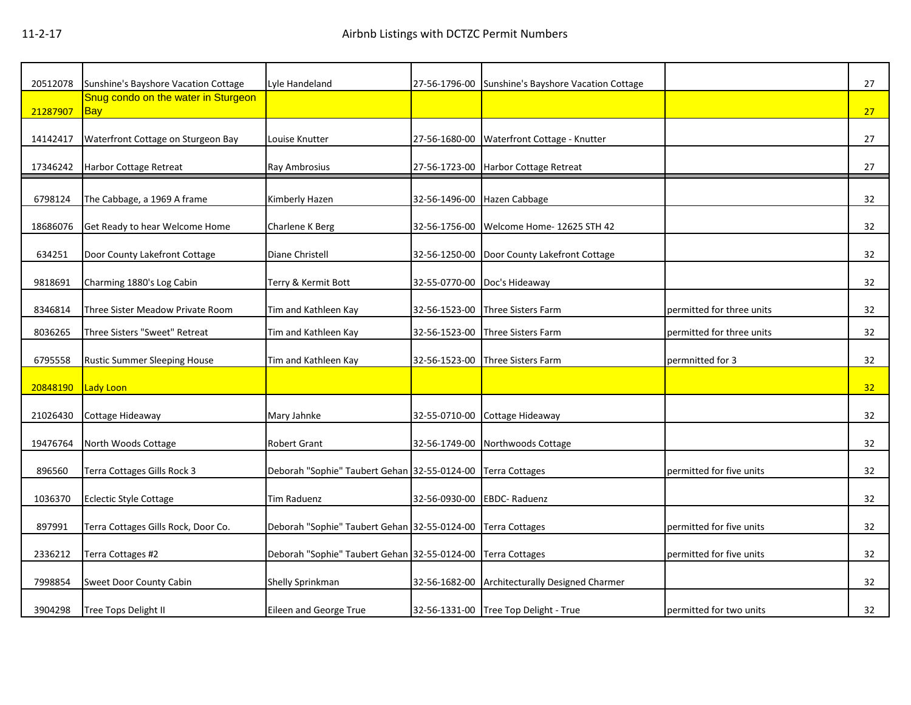| 20512078 | Sunshine's Bayshore Vacation Cottage              | Lyle Handeland                               |               | 27-56-1796-00 Sunshine's Bayshore Vacation Cottage |                           | 27 |
|----------|---------------------------------------------------|----------------------------------------------|---------------|----------------------------------------------------|---------------------------|----|
| 21287907 | Snug condo on the water in Sturgeon<br><b>Bay</b> |                                              |               |                                                    |                           | 27 |
| 14142417 | Waterfront Cottage on Sturgeon Bay                | Louise Knutter                               | 27-56-1680-00 | Waterfront Cottage - Knutter                       |                           | 27 |
| 17346242 | Harbor Cottage Retreat                            | Ray Ambrosius                                |               | 27-56-1723-00 Harbor Cottage Retreat               |                           | 27 |
| 6798124  | The Cabbage, a 1969 A frame                       | Kimberly Hazen                               |               | 32-56-1496-00 Hazen Cabbage                        |                           | 32 |
| 18686076 | Get Ready to hear Welcome Home                    | Charlene K Berg                              | 32-56-1756-00 | Welcome Home- 12625 STH 42                         |                           | 32 |
| 634251   | Door County Lakefront Cottage                     | Diane Christell                              |               | 32-56-1250-00 Door County Lakefront Cottage        |                           | 32 |
| 9818691  | Charming 1880's Log Cabin                         | Terry & Kermit Bott                          |               | 32-55-0770-00 Doc's Hideaway                       |                           | 32 |
| 8346814  | Three Sister Meadow Private Room                  | Tim and Kathleen Kay                         | 32-56-1523-00 | Three Sisters Farm                                 | permitted for three units | 32 |
| 8036265  | Three Sisters "Sweet" Retreat                     | Tim and Kathleen Kay                         | 32-56-1523-00 | Three Sisters Farm                                 | permitted for three units | 32 |
| 6795558  | Rustic Summer Sleeping House                      | Tim and Kathleen Kay                         | 32-56-1523-00 | Three Sisters Farm                                 | permnitted for 3          | 32 |
| 20848190 | Lady Loon                                         |                                              |               |                                                    |                           | 32 |
| 21026430 | Cottage Hideaway                                  | Mary Jahnke                                  | 32-55-0710-00 | Cottage Hideaway                                   |                           | 32 |
| 19476764 | North Woods Cottage                               | Robert Grant                                 | 32-56-1749-00 | Northwoods Cottage                                 |                           | 32 |
| 896560   | Terra Cottages Gills Rock 3                       | Deborah "Sophie" Taubert Gehan 32-55-0124-00 |               | <b>Terra Cottages</b>                              | permitted for five units  | 32 |
| 1036370  | <b>Eclectic Style Cottage</b>                     | <b>Tim Raduenz</b>                           | 32-56-0930-00 | <b>EBDC-Raduenz</b>                                |                           | 32 |
| 897991   | Terra Cottages Gills Rock, Door Co.               | Deborah "Sophie" Taubert Gehan 32-55-0124-00 |               | <b>Terra Cottages</b>                              | permitted for five units  | 32 |
| 2336212  | Terra Cottages #2                                 | Deborah "Sophie" Taubert Gehan 32-55-0124-00 |               | <b>Terra Cottages</b>                              | permitted for five units  | 32 |
| 7998854  | Sweet Door County Cabin                           | Shelly Sprinkman                             | 32-56-1682-00 | <b>Architecturally Designed Charmer</b>            |                           | 32 |
| 3904298  | Tree Tops Delight II                              | Eileen and George True                       |               | 32-56-1331-00 Tree Top Delight - True              | permitted for two units   | 32 |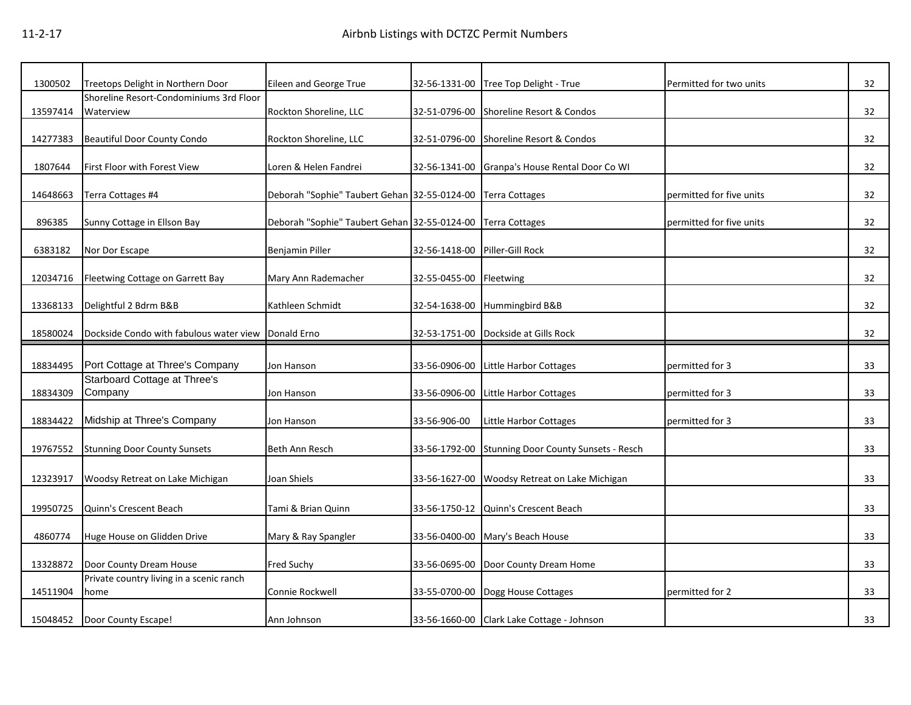| 1300502  | Treetops Delight in Northern Door        | Eileen and George True                       | 32-56-1331-00 | Tree Top Delight - True                    | Permitted for two units  | 32 |
|----------|------------------------------------------|----------------------------------------------|---------------|--------------------------------------------|--------------------------|----|
|          | Shoreline Resort-Condominiums 3rd Floor  |                                              |               |                                            |                          |    |
| 13597414 | Waterview                                | Rockton Shoreline, LLC                       | 32-51-0796-00 | Shoreline Resort & Condos                  |                          | 32 |
| 14277383 | <b>Beautiful Door County Condo</b>       | Rockton Shoreline, LLC                       | 32-51-0796-00 | Shoreline Resort & Condos                  |                          | 32 |
| 1807644  | First Floor with Forest View             | Loren & Helen Fandrei                        | 32-56-1341-00 | Granpa's House Rental Door Co WI           |                          | 32 |
|          |                                          |                                              |               |                                            |                          |    |
| 14648663 | Terra Cottages #4                        | Deborah "Sophie" Taubert Gehan 32-55-0124-00 |               | <b>Terra Cottages</b>                      | permitted for five units | 32 |
|          |                                          |                                              |               |                                            |                          |    |
| 896385   | Sunny Cottage in Ellson Bay              | Deborah "Sophie" Taubert Gehan 32-55-0124-00 |               | <b>Terra Cottages</b>                      | permitted for five units | 32 |
| 6383182  | Nor Dor Escape                           | Benjamin Piller                              | 32-56-1418-00 | Piller-Gill Rock                           |                          | 32 |
|          |                                          |                                              |               |                                            |                          |    |
| 12034716 | Fleetwing Cottage on Garrett Bay         | Mary Ann Rademacher                          | 32-55-0455-00 | Fleetwing                                  |                          | 32 |
|          |                                          |                                              |               |                                            |                          |    |
| 13368133 | Delightful 2 Bdrm B&B                    | Kathleen Schmidt                             | 32-54-1638-00 | Hummingbird B&B                            |                          | 32 |
| 18580024 | Dockside Condo with fabulous water view  | Donald Erno                                  | 32-53-1751-00 | Dockside at Gills Rock                     |                          | 32 |
|          |                                          |                                              |               |                                            |                          |    |
| 18834495 | Port Cottage at Three's Company          | Jon Hanson                                   | 33-56-0906-00 | Little Harbor Cottages                     | permitted for 3          | 33 |
|          |                                          |                                              |               |                                            |                          |    |
|          | Starboard Cottage at Three's             |                                              |               |                                            |                          |    |
| 18834309 | Company                                  | Jon Hanson                                   | 33-56-0906-00 | Little Harbor Cottages                     | permitted for 3          | 33 |
| 18834422 | Midship at Three's Company               | Jon Hanson                                   | 33-56-906-00  | Little Harbor Cottages                     | permitted for 3          | 33 |
|          |                                          |                                              |               |                                            |                          |    |
| 19767552 | <b>Stunning Door County Sunsets</b>      | Beth Ann Resch                               | 33-56-1792-00 | Stunning Door County Sunsets - Resch       |                          | 33 |
|          |                                          |                                              |               |                                            |                          |    |
| 12323917 | Woodsy Retreat on Lake Michigan          | Joan Shiels                                  | 33-56-1627-00 | Woodsy Retreat on Lake Michigan            |                          | 33 |
|          | Quinn's Crescent Beach                   | Tami & Brian Quinn                           |               | Quinn's Crescent Beach                     |                          | 33 |
| 19950725 |                                          |                                              | 33-56-1750-12 |                                            |                          |    |
| 4860774  | Huge House on Glidden Drive              | Mary & Ray Spangler                          | 33-56-0400-00 | Mary's Beach House                         |                          | 33 |
|          |                                          |                                              |               |                                            |                          |    |
| 13328872 | Door County Dream House                  | Fred Suchy                                   | 33-56-0695-00 | Door County Dream Home                     |                          | 33 |
|          | Private country living in a scenic ranch |                                              |               |                                            |                          |    |
| 14511904 | home                                     | Connie Rockwell                              | 33-55-0700-00 | Dogg House Cottages                        | permitted for 2          | 33 |
|          | 15048452 Door County Escape!             | Ann Johnson                                  |               | 33-56-1660-00 Clark Lake Cottage - Johnson |                          | 33 |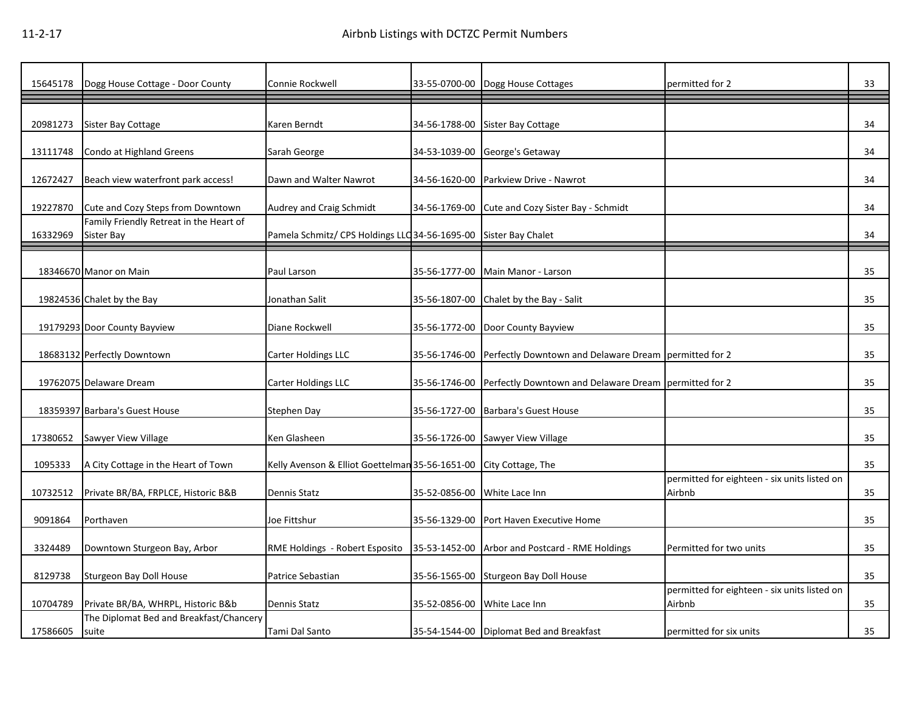| 15645178 | Dogg House Cottage - Door County                      | Connie Rockwell                                                  | 33-55-0700-00 | Dogg House Cottages                                   | permitted for 2                                        | 33 |
|----------|-------------------------------------------------------|------------------------------------------------------------------|---------------|-------------------------------------------------------|--------------------------------------------------------|----|
| 20981273 | Sister Bay Cottage                                    | Karen Berndt                                                     | 34-56-1788-00 | Sister Bay Cottage                                    |                                                        | 34 |
| 13111748 | Condo at Highland Greens                              | Sarah George                                                     | 34-53-1039-00 | George's Getaway                                      |                                                        | 34 |
| 12672427 | Beach view waterfront park access!                    | Dawn and Walter Nawrot                                           | 34-56-1620-00 | Parkview Drive - Nawrot                               |                                                        | 34 |
| 19227870 | Cute and Cozy Steps from Downtown                     | Audrey and Craig Schmidt                                         | 34-56-1769-00 | Cute and Cozy Sister Bay - Schmidt                    |                                                        | 34 |
| 16332969 | Family Friendly Retreat in the Heart of<br>Sister Bay | Pamela Schmitz/ CPS Holdings LLC 34-56-1695-00 Sister Bay Chalet |               |                                                       |                                                        | 34 |
|          | 18346670 Manor on Main                                | Paul Larson                                                      | 35-56-1777-00 | Main Manor - Larson                                   |                                                        | 35 |
|          | 19824536 Chalet by the Bay                            | Jonathan Salit                                                   | 35-56-1807-00 | Chalet by the Bay - Salit                             |                                                        | 35 |
|          | 19179293 Door County Bayview                          | Diane Rockwell                                                   |               | 35-56-1772-00 Door County Bayview                     |                                                        | 35 |
|          | 18683132 Perfectly Downtown                           | Carter Holdings LLC                                              | 35-56-1746-00 | Perfectly Downtown and Delaware Dream permitted for 2 |                                                        | 35 |
|          | 19762075 Delaware Dream                               | <b>Carter Holdings LLC</b>                                       | 35-56-1746-00 | Perfectly Downtown and Delaware Dream permitted for 2 |                                                        | 35 |
|          | 18359397 Barbara's Guest House                        | Stephen Day                                                      | 35-56-1727-00 | <b>Barbara's Guest House</b>                          |                                                        | 35 |
| 17380652 | Sawyer View Village                                   | Ken Glasheen                                                     | 35-56-1726-00 | Sawyer View Village                                   |                                                        | 35 |
| 1095333  | A City Cottage in the Heart of Town                   | Kelly Avenson & Elliot Goettelman 35-56-1651-00                  |               | City Cottage, The                                     |                                                        | 35 |
| 10732512 | Private BR/BA, FRPLCE, Historic B&B                   | Dennis Statz                                                     | 35-52-0856-00 | White Lace Inn                                        | permitted for eighteen - six units listed on<br>Airbnb | 35 |
| 9091864  | Porthaven                                             | Joe Fittshur                                                     | 35-56-1329-00 | Port Haven Executive Home                             |                                                        | 35 |
| 3324489  | Downtown Sturgeon Bay, Arbor                          | RME Holdings - Robert Esposito                                   | 35-53-1452-00 | Arbor and Postcard - RME Holdings                     | Permitted for two units                                | 35 |
| 8129738  | Sturgeon Bay Doll House                               | Patrice Sebastian                                                |               | 35-56-1565-00 Sturgeon Bay Doll House                 |                                                        | 35 |
| 10704789 | Private BR/BA, WHRPL, Historic B&b                    | Dennis Statz                                                     | 35-52-0856-00 | White Lace Inn                                        | permitted for eighteen - six units listed on<br>Airbnb | 35 |
| 17586605 | The Diplomat Bed and Breakfast/Chancery<br>suite      | Tami Dal Santo                                                   |               | 35-54-1544-00 Diplomat Bed and Breakfast              | permitted for six units                                | 35 |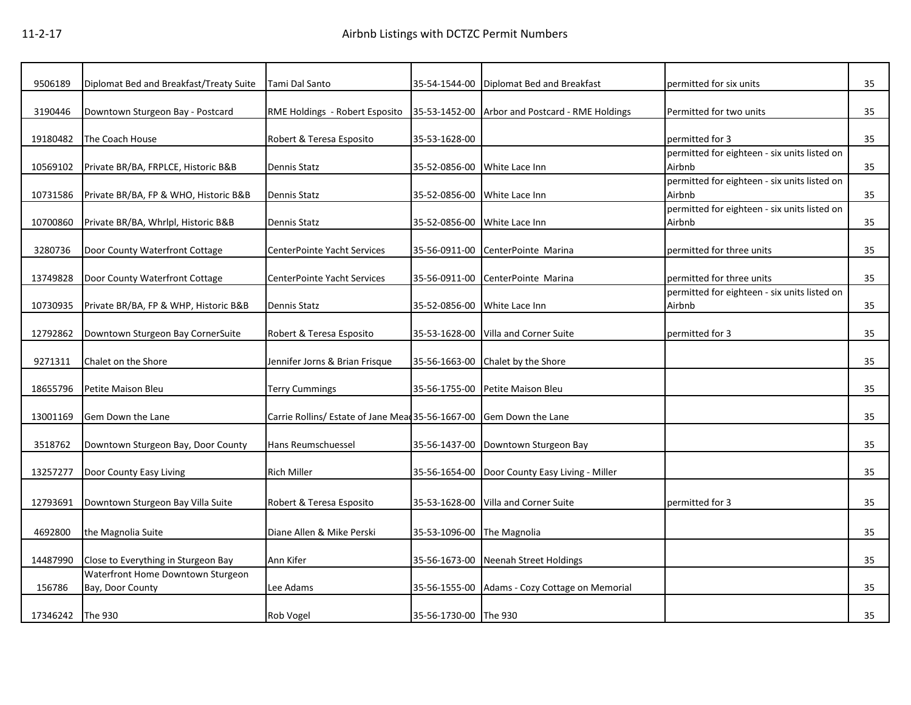| 9506189  | Diplomat Bed and Breakfast/Treaty Suite               | Tami Dal Santo                                    | 35-54-1544-00         | Diplomat Bed and Breakfast        | permitted for six units                                | 35 |
|----------|-------------------------------------------------------|---------------------------------------------------|-----------------------|-----------------------------------|--------------------------------------------------------|----|
| 3190446  | Downtown Sturgeon Bay - Postcard                      | RME Holdings - Robert Esposito                    | 35-53-1452-00         | Arbor and Postcard - RME Holdings | Permitted for two units                                | 35 |
|          |                                                       |                                                   |                       |                                   |                                                        |    |
| 19180482 | The Coach House                                       | Robert & Teresa Esposito                          | 35-53-1628-00         |                                   | permitted for 3                                        | 35 |
| 10569102 | Private BR/BA, FRPLCE, Historic B&B                   | Dennis Statz                                      | 35-52-0856-00         | White Lace Inn                    | permitted for eighteen - six units listed on<br>Airbnb | 35 |
| 10731586 | Private BR/BA, FP & WHO, Historic B&B                 | Dennis Statz                                      | 35-52-0856-00         | White Lace Inn                    | permitted for eighteen - six units listed on<br>Airbnb | 35 |
| 10700860 | Private BR/BA, Whrlpl, Historic B&B                   | Dennis Statz                                      | 35-52-0856-00         | White Lace Inn                    | permitted for eighteen - six units listed on<br>Airbnb | 35 |
|          |                                                       |                                                   |                       |                                   |                                                        |    |
| 3280736  | Door County Waterfront Cottage                        | <b>CenterPointe Yacht Services</b>                | 35-56-0911-00         | CenterPointe Marina               | permitted for three units                              | 35 |
| 13749828 | Door County Waterfront Cottage                        | CenterPointe Yacht Services                       | 35-56-0911-00         | CenterPointe Marina               | permitted for three units                              | 35 |
| 10730935 | Private BR/BA, FP & WHP, Historic B&B                 | Dennis Statz                                      | 35-52-0856-00         | White Lace Inn                    | permitted for eighteen - six units listed on<br>Airbnb | 35 |
| 12792862 | Downtown Sturgeon Bay CornerSuite                     | Robert & Teresa Esposito                          | 35-53-1628-00         | Villa and Corner Suite            | permitted for 3                                        | 35 |
|          |                                                       |                                                   |                       |                                   |                                                        |    |
| 9271311  | Chalet on the Shore                                   | Jennifer Jorns & Brian Frisque                    | 35-56-1663-00         | Chalet by the Shore               |                                                        | 35 |
| 18655796 | Petite Maison Bleu                                    | <b>Terry Cummings</b>                             | 35-56-1755-00         | Petite Maison Bleu                |                                                        | 35 |
| 13001169 | Gem Down the Lane                                     | Carrie Rollins/ Estate of Jane Mead 35-56-1667-00 |                       | <b>Gem Down the Lane</b>          |                                                        | 35 |
| 3518762  | Downtown Sturgeon Bay, Door County                    | Hans Reumschuessel                                | 35-56-1437-00         | Downtown Sturgeon Bay             |                                                        | 35 |
| 13257277 | Door County Easy Living                               | <b>Rich Miller</b>                                | 35-56-1654-00         | Door County Easy Living - Miller  |                                                        | 35 |
|          |                                                       |                                                   |                       |                                   |                                                        |    |
| 12793691 | Downtown Sturgeon Bay Villa Suite                     | Robert & Teresa Esposito                          | 35-53-1628-00         | Villa and Corner Suite            | permitted for 3                                        | 35 |
| 4692800  | the Magnolia Suite                                    | Diane Allen & Mike Perski                         | 35-53-1096-00         | The Magnolia                      |                                                        | 35 |
|          |                                                       |                                                   |                       |                                   |                                                        |    |
| 14487990 | Close to Everything in Sturgeon Bay                   | Ann Kifer                                         | 35-56-1673-00         | Neenah Street Holdings            |                                                        | 35 |
| 156786   | Waterfront Home Downtown Sturgeon<br>Bay, Door County | Lee Adams                                         | 35-56-1555-00         | Adams - Cozy Cottage on Memorial  |                                                        | 35 |
|          |                                                       |                                                   |                       |                                   |                                                        |    |
| 17346242 | The 930                                               | Rob Vogel                                         | 35-56-1730-00 The 930 |                                   |                                                        | 35 |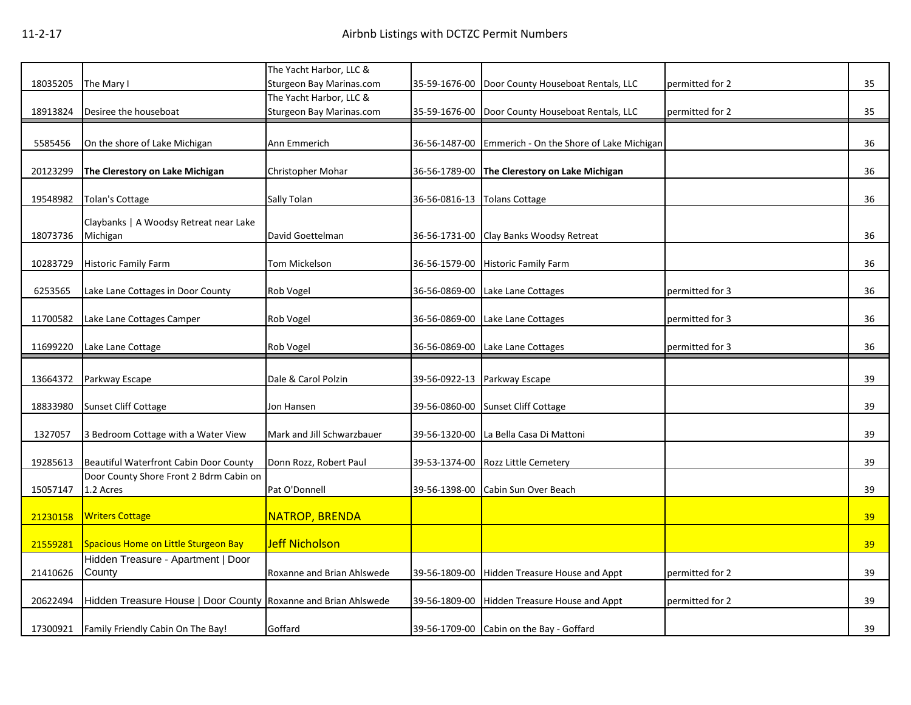|          |                                                                | The Yacht Harbor, LLC &    |               |                                          |                 |    |
|----------|----------------------------------------------------------------|----------------------------|---------------|------------------------------------------|-----------------|----|
| 18035205 | The Mary I                                                     | Sturgeon Bay Marinas.com   | 35-59-1676-00 | Door County Houseboat Rentals, LLC       | permitted for 2 | 35 |
|          |                                                                | The Yacht Harbor, LLC &    |               |                                          |                 |    |
| 18913824 | Desiree the houseboat                                          | Sturgeon Bay Marinas.com   | 35-59-1676-00 | Door County Houseboat Rentals, LLC       | permitted for 2 | 35 |
| 5585456  | On the shore of Lake Michigan                                  | Ann Emmerich               | 36-56-1487-00 | Emmerich - On the Shore of Lake Michigan |                 | 36 |
|          |                                                                |                            |               |                                          |                 |    |
| 20123299 | The Clerestory on Lake Michigan                                | Christopher Mohar          | 36-56-1789-00 | The Clerestory on Lake Michigan          |                 | 36 |
|          |                                                                |                            |               |                                          |                 |    |
| 19548982 | <b>Tolan's Cottage</b>                                         | Sally Tolan                | 36-56-0816-13 | <b>Tolans Cottage</b>                    |                 | 36 |
|          | Claybanks   A Woodsy Retreat near Lake                         |                            |               |                                          |                 |    |
| 18073736 | Michigan                                                       | David Goettelman           | 36-56-1731-00 | Clay Banks Woodsy Retreat                |                 | 36 |
|          |                                                                |                            |               |                                          |                 |    |
| 10283729 | Historic Family Farm                                           | Tom Mickelson              | 36-56-1579-00 | <b>Historic Family Farm</b>              |                 | 36 |
|          |                                                                |                            |               |                                          |                 |    |
| 6253565  | Lake Lane Cottages in Door County                              | Rob Vogel                  | 36-56-0869-00 | Lake Lane Cottages                       | permitted for 3 | 36 |
| 11700582 | Lake Lane Cottages Camper                                      | Rob Vogel                  | 36-56-0869-00 | Lake Lane Cottages                       | permitted for 3 | 36 |
|          |                                                                |                            |               |                                          |                 |    |
| 11699220 | Lake Lane Cottage                                              | Rob Vogel                  | 36-56-0869-00 | Lake Lane Cottages                       | permitted for 3 | 36 |
|          |                                                                |                            |               |                                          |                 |    |
| 13664372 | Parkway Escape                                                 | Dale & Carol Polzin        | 39-56-0922-13 | Parkway Escape                           |                 | 39 |
| 18833980 | <b>Sunset Cliff Cottage</b>                                    | Jon Hansen                 | 39-56-0860-00 | <b>Sunset Cliff Cottage</b>              |                 | 39 |
|          |                                                                |                            |               |                                          |                 |    |
| 1327057  | 3 Bedroom Cottage with a Water View                            | Mark and Jill Schwarzbauer | 39-56-1320-00 | La Bella Casa Di Mattoni                 |                 | 39 |
|          |                                                                |                            |               |                                          |                 |    |
| 19285613 | <b>Beautiful Waterfront Cabin Door County</b>                  | Donn Rozz, Robert Paul     | 39-53-1374-00 | <b>Rozz Little Cemetery</b>              |                 | 39 |
|          | Door County Shore Front 2 Bdrm Cabin on                        |                            |               |                                          |                 |    |
| 15057147 | 1.2 Acres                                                      | Pat O'Donnell              | 39-56-1398-00 | Cabin Sun Over Beach                     |                 | 39 |
| 21230158 | <b>Writers Cottage</b>                                         | <b>NATROP, BRENDA</b>      |               |                                          |                 | 39 |
|          |                                                                |                            |               |                                          |                 |    |
| 21559281 | Spacious Home on Little Sturgeon Bay                           | <b>Jeff Nicholson</b>      |               |                                          |                 | 39 |
|          | Hidden Treasure - Apartment   Door                             |                            |               |                                          |                 |    |
| 21410626 | County                                                         | Roxanne and Brian Ahlswede | 39-56-1809-00 | <b>Hidden Treasure House and Appt</b>    | permitted for 2 | 39 |
|          |                                                                |                            |               |                                          |                 |    |
|          |                                                                |                            |               |                                          |                 |    |
| 20622494 | Hidden Treasure House   Door County Roxanne and Brian Ahlswede |                            | 39-56-1809-00 | Hidden Treasure House and Appt           | permitted for 2 | 39 |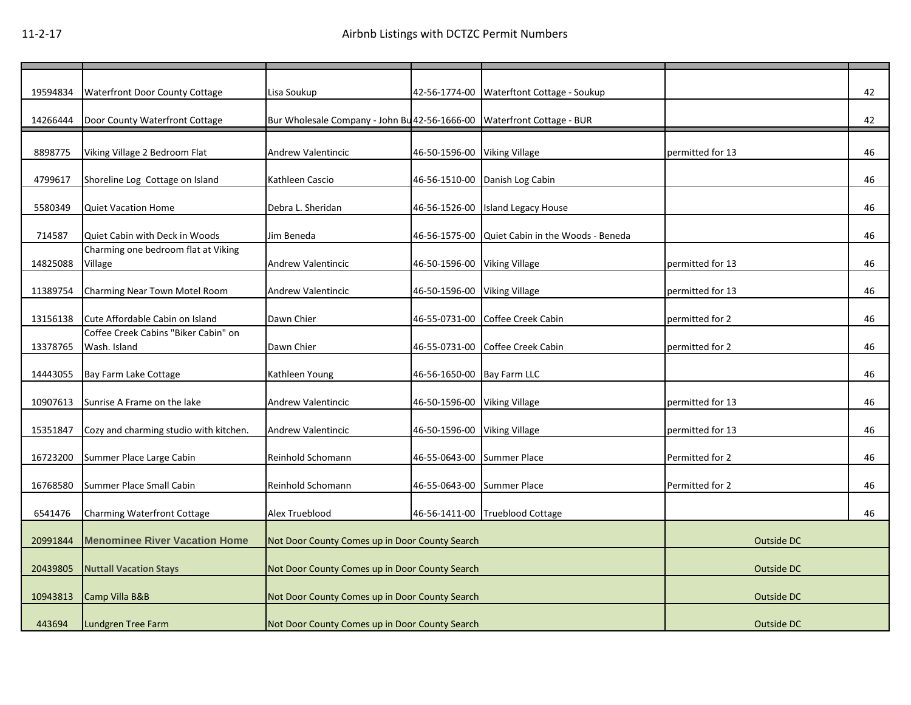| 19594834 | <b>Waterfront Door County Cottage</b>  | Lisa Soukup                                                            |                              | 42-56-1774-00 Waterftont Cottage - Soukup       |                  | 42 |
|----------|----------------------------------------|------------------------------------------------------------------------|------------------------------|-------------------------------------------------|------------------|----|
| 14266444 | Door County Waterfront Cottage         | Bur Wholesale Company - John Bu 42-56-1666-00 Waterfront Cottage - BUR |                              |                                                 |                  | 42 |
|          |                                        |                                                                        |                              |                                                 |                  |    |
| 8898775  | Viking Village 2 Bedroom Flat          | Andrew Valentincic                                                     | 46-50-1596-00 Viking Village |                                                 | permitted for 13 | 46 |
|          |                                        |                                                                        |                              |                                                 |                  |    |
| 4799617  | Shoreline Log Cottage on Island        | Kathleen Cascio                                                        |                              | 46-56-1510-00 Danish Log Cabin                  |                  | 46 |
|          |                                        |                                                                        |                              |                                                 |                  |    |
| 5580349  | <b>Quiet Vacation Home</b>             | Debra L. Sheridan                                                      |                              | 46-56-1526-00 Island Legacy House               |                  | 46 |
|          |                                        |                                                                        |                              |                                                 |                  |    |
| 714587   | Quiet Cabin with Deck in Woods         | Jim Beneda                                                             |                              | 46-56-1575-00 Quiet Cabin in the Woods - Beneda |                  | 46 |
|          | Charming one bedroom flat at Viking    |                                                                        |                              |                                                 |                  |    |
| 14825088 | Village                                | Andrew Valentincic                                                     | 46-50-1596-00 Viking Village |                                                 | permitted for 13 | 46 |
|          |                                        |                                                                        |                              |                                                 |                  |    |
| 11389754 | Charming Near Town Motel Room          | <b>Andrew Valentincic</b>                                              | 46-50-1596-00                | <b>Viking Village</b>                           | permitted for 13 | 46 |
|          |                                        |                                                                        |                              |                                                 |                  |    |
| 13156138 | Cute Affordable Cabin on Island        | Dawn Chier                                                             |                              | 46-55-0731-00 Coffee Creek Cabin                | permitted for 2  | 46 |
|          | Coffee Creek Cabins "Biker Cabin" on   |                                                                        |                              |                                                 |                  |    |
| 13378765 | Wash. Island                           | Dawn Chier                                                             |                              | 46-55-0731-00 Coffee Creek Cabin                | permitted for 2  | 46 |
|          |                                        |                                                                        |                              |                                                 |                  |    |
| 14443055 | Bay Farm Lake Cottage                  | Kathleen Young                                                         | 46-56-1650-00 Bay Farm LLC   |                                                 |                  | 46 |
|          |                                        |                                                                        |                              |                                                 |                  |    |
| 10907613 | Sunrise A Frame on the lake            | <b>Andrew Valentincic</b>                                              | 46-50-1596-00 Viking Village |                                                 | permitted for 13 | 46 |
|          |                                        |                                                                        |                              |                                                 |                  |    |
| 15351847 | Cozy and charming studio with kitchen. | <b>Andrew Valentincic</b>                                              | 46-50-1596-00                | <b>Viking Village</b>                           | permitted for 13 | 46 |
|          |                                        |                                                                        |                              |                                                 |                  |    |
| 16723200 | Summer Place Large Cabin               | Reinhold Schomann                                                      | 46-55-0643-00 Summer Place   |                                                 | Permitted for 2  | 46 |
|          |                                        |                                                                        |                              |                                                 |                  |    |
| 16768580 | Summer Place Small Cabin               | Reinhold Schomann                                                      | 46-55-0643-00 Summer Place   |                                                 | Permitted for 2  | 46 |
|          |                                        |                                                                        |                              |                                                 |                  |    |
| 6541476  | <b>Charming Waterfront Cottage</b>     | Alex Trueblood                                                         |                              | 46-56-1411-00 Trueblood Cottage                 |                  | 46 |
|          |                                        |                                                                        |                              |                                                 |                  |    |
| 20991844 | <b>Menominee River Vacation Home</b>   | Not Door County Comes up in Door County Search                         |                              |                                                 | Outside DC       |    |
|          |                                        |                                                                        |                              |                                                 |                  |    |
| 20439805 | <b>Nuttall Vacation Stays</b>          | Not Door County Comes up in Door County Search                         |                              |                                                 | Outside DC       |    |
|          |                                        |                                                                        |                              |                                                 |                  |    |
| 10943813 | Camp Villa B&B                         | Not Door County Comes up in Door County Search                         |                              |                                                 | Outside DC       |    |
|          |                                        |                                                                        |                              |                                                 |                  |    |
| 443694   | Lundgren Tree Farm                     | Not Door County Comes up in Door County Search                         |                              |                                                 | Outside DC       |    |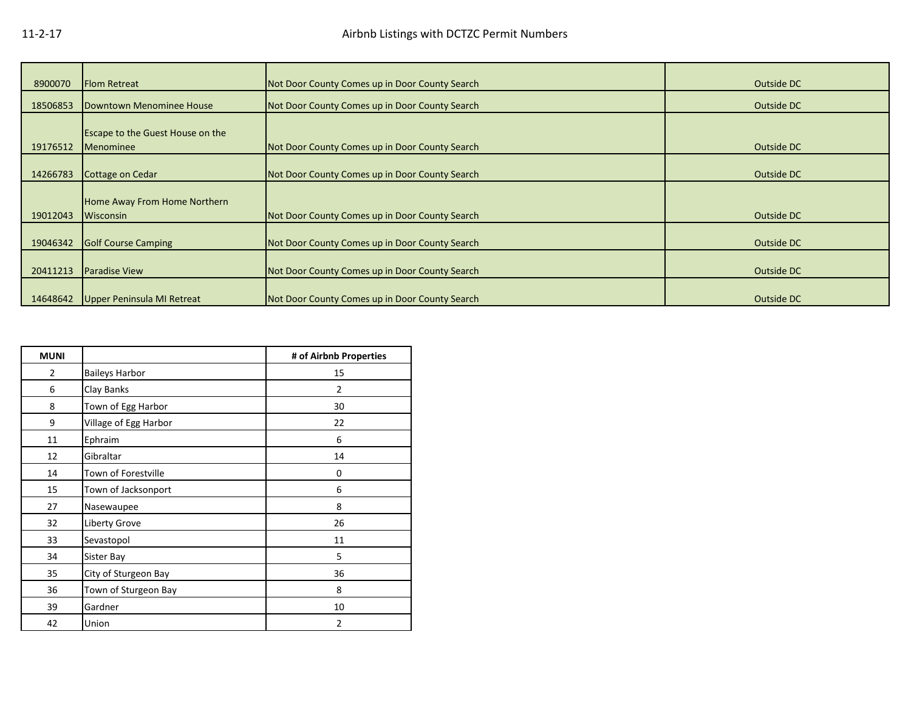| 8900070  | <b>Flom Retreat</b>                     | Not Door County Comes up in Door County Search | Outside DC |
|----------|-----------------------------------------|------------------------------------------------|------------|
| 18506853 | Downtown Menominee House                | Not Door County Comes up in Door County Search | Outside DC |
|          |                                         |                                                |            |
|          | <b>Escape to the Guest House on the</b> |                                                |            |
| 19176512 | Menominee                               | Not Door County Comes up in Door County Search | Outside DC |
|          |                                         |                                                |            |
| 14266783 | Cottage on Cedar                        | Not Door County Comes up in Door County Search | Outside DC |
|          |                                         |                                                |            |
|          | Home Away From Home Northern            |                                                |            |
| 19012043 | Wisconsin                               | Not Door County Comes up in Door County Search | Outside DC |
|          |                                         |                                                |            |
| 19046342 | <b>Golf Course Camping</b>              | Not Door County Comes up in Door County Search | Outside DC |
|          |                                         |                                                |            |
| 20411213 | <b>Paradise View</b>                    | Not Door County Comes up in Door County Search | Outside DC |
|          |                                         |                                                |            |
| 14648642 | Upper Peninsula MI Retreat              | Not Door County Comes up in Door County Search | Outside DC |

| <b>MUNI</b>    |                       | # of Airbnb Properties |
|----------------|-----------------------|------------------------|
| $\overline{2}$ | <b>Baileys Harbor</b> | 15                     |
| 6              | Clay Banks            | 2                      |
| 8              | Town of Egg Harbor    | 30                     |
| 9              | Village of Egg Harbor | 22                     |
| 11             | Ephraim               | 6                      |
| 12             | Gibraltar             | 14                     |
| 14             | Town of Forestville   | 0                      |
| 15             | Town of Jacksonport   | 6                      |
| 27             | Nasewaupee            | 8                      |
| 32             | Liberty Grove         | 26                     |
| 33             | Sevastopol            | 11                     |
| 34             | Sister Bay            | 5                      |
| 35             | City of Sturgeon Bay  | 36                     |
| 36             | Town of Sturgeon Bay  | 8                      |
| 39             | Gardner               | 10                     |
| 42             | Union                 | $\overline{2}$         |